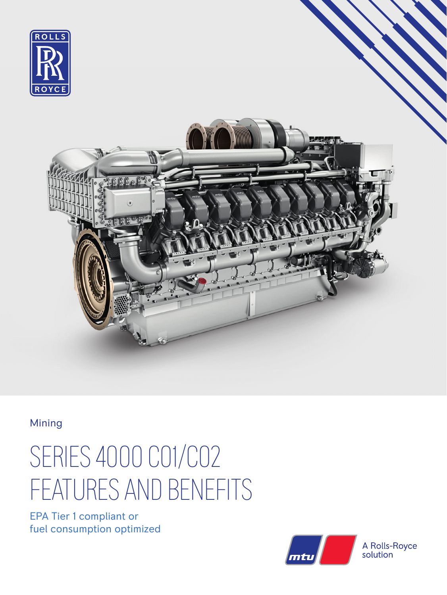

Mining

## SERIES 4000 C01/C02 FEATURES AND BENEFITS

EPA Tier 1 compliant or fuel consumption optimized